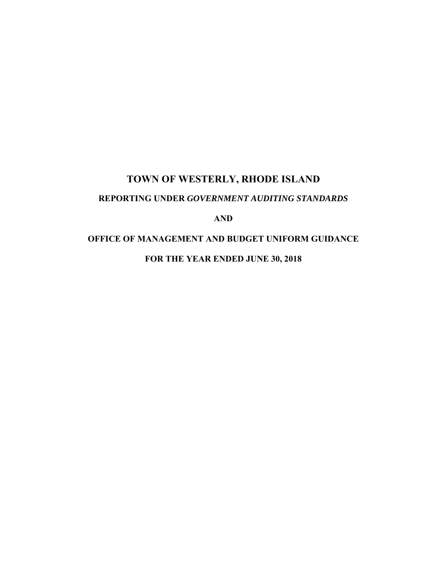# **TOWN OF WESTERLY, RHODE ISLAND REPORTING UNDER** *GOVERNMENT AUDITING STANDARDS* **AND**

**OFFICE OF MANAGEMENT AND BUDGET UNIFORM GUIDANCE** 

**FOR THE YEAR ENDED JUNE 30, 2018**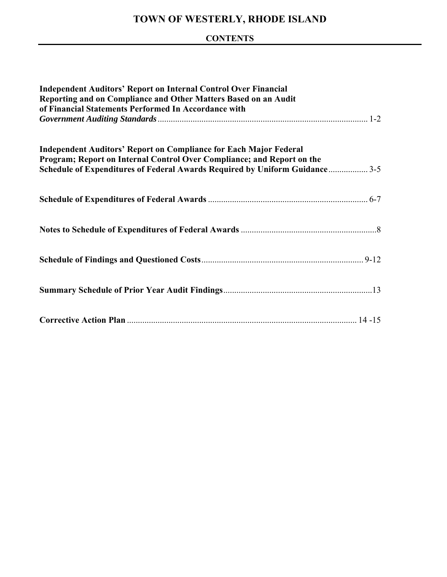## **CONTENTS**

| <b>Independent Auditors' Report on Internal Control Over Financial</b><br>Reporting and on Compliance and Other Matters Based on an Audit<br>of Financial Statements Performed In Accordance with                                 |  |  |  |
|-----------------------------------------------------------------------------------------------------------------------------------------------------------------------------------------------------------------------------------|--|--|--|
| <b>Independent Auditors' Report on Compliance for Each Major Federal</b><br>Program; Report on Internal Control Over Compliance; and Report on the<br>Schedule of Expenditures of Federal Awards Required by Uniform Guidance 3-5 |  |  |  |
|                                                                                                                                                                                                                                   |  |  |  |
|                                                                                                                                                                                                                                   |  |  |  |
|                                                                                                                                                                                                                                   |  |  |  |
|                                                                                                                                                                                                                                   |  |  |  |
|                                                                                                                                                                                                                                   |  |  |  |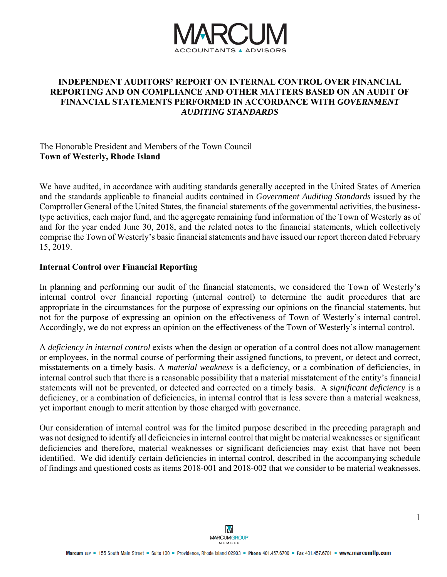

#### **INDEPENDENT AUDITORS' REPORT ON INTERNAL CONTROL OVER FINANCIAL REPORTING AND ON COMPLIANCE AND OTHER MATTERS BASED ON AN AUDIT OF FINANCIAL STATEMENTS PERFORMED IN ACCORDANCE WITH** *GOVERNMENT AUDITING STANDARDS*

#### The Honorable President and Members of the Town Council **Town of Westerly, Rhode Island**

We have audited, in accordance with auditing standards generally accepted in the United States of America and the standards applicable to financial audits contained in *Government Auditing Standards* issued by the Comptroller General of the United States, the financial statements of the governmental activities, the businesstype activities, each major fund, and the aggregate remaining fund information of the Town of Westerly as of and for the year ended June 30, 2018, and the related notes to the financial statements, which collectively comprise the Town of Westerly's basic financial statements and have issued our report thereon dated February 15, 2019.

#### **Internal Control over Financial Reporting**

In planning and performing our audit of the financial statements, we considered the Town of Westerly's internal control over financial reporting (internal control) to determine the audit procedures that are appropriate in the circumstances for the purpose of expressing our opinions on the financial statements, but not for the purpose of expressing an opinion on the effectiveness of Town of Westerly's internal control. Accordingly, we do not express an opinion on the effectiveness of the Town of Westerly's internal control.

A *deficiency in internal control* exists when the design or operation of a control does not allow management or employees, in the normal course of performing their assigned functions, to prevent, or detect and correct, misstatements on a timely basis. A *material weakness* is a deficiency, or a combination of deficiencies, in internal control such that there is a reasonable possibility that a material misstatement of the entity's financial statements will not be prevented, or detected and corrected on a timely basis. A *significant deficiency* is a deficiency, or a combination of deficiencies, in internal control that is less severe than a material weakness, yet important enough to merit attention by those charged with governance.

Our consideration of internal control was for the limited purpose described in the preceding paragraph and was not designed to identify all deficiencies in internal control that might be material weaknesses or significant deficiencies and therefore, material weaknesses or significant deficiencies may exist that have not been identified. We did identify certain deficiencies in internal control, described in the accompanying schedule of findings and questioned costs as items 2018-001 and 2018-002 that we consider to be material weaknesses.

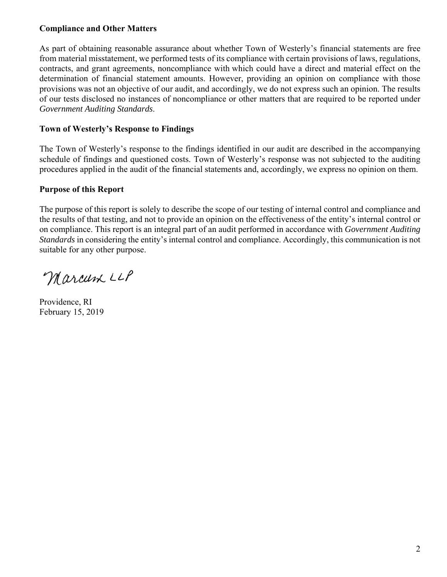#### **Compliance and Other Matters**

As part of obtaining reasonable assurance about whether Town of Westerly's financial statements are free from material misstatement, we performed tests of its compliance with certain provisions of laws, regulations, contracts, and grant agreements, noncompliance with which could have a direct and material effect on the determination of financial statement amounts. However, providing an opinion on compliance with those provisions was not an objective of our audit, and accordingly, we do not express such an opinion. The results of our tests disclosed no instances of noncompliance or other matters that are required to be reported under *Government Auditing Standards*.

#### **Town of Westerly's Response to Findings**

The Town of Westerly's response to the findings identified in our audit are described in the accompanying schedule of findings and questioned costs. Town of Westerly's response was not subjected to the auditing procedures applied in the audit of the financial statements and, accordingly, we express no opinion on them.

#### **Purpose of this Report**

The purpose of this report is solely to describe the scope of our testing of internal control and compliance and the results of that testing, and not to provide an opinion on the effectiveness of the entity's internal control or on compliance. This report is an integral part of an audit performed in accordance with *Government Auditing Standards* in considering the entity's internal control and compliance. Accordingly, this communication is not suitable for any other purpose.

Marcum LLP

Providence, RI February 15, 2019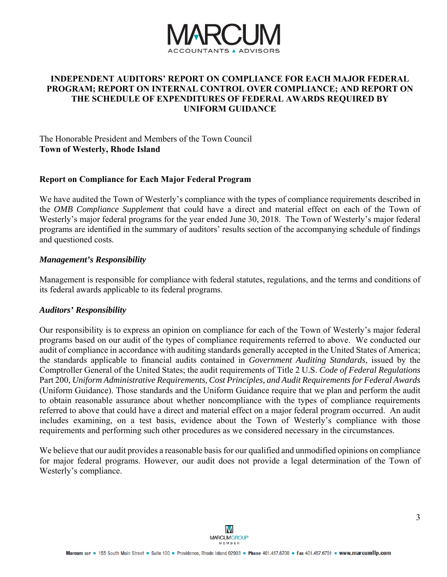

#### **INDEPENDENT AUDITORS' REPORT ON COMPLIANCE FOR EACH MAJOR FEDERAL PROGRAM; REPORT ON INTERNAL CONTROL OVER COMPLIANCE; AND REPORT ON THE SCHEDULE OF EXPENDITURES OF FEDERAL AWARDS REQUIRED BY UNIFORM GUIDANCE**

The Honorable President and Members of the Town Council **Town of Westerly, Rhode Island** 

#### **Report on Compliance for Each Major Federal Program**

We have audited the Town of Westerly's compliance with the types of compliance requirements described in the *OMB Compliance Supplement* that could have a direct and material effect on each of the Town of Westerly's major federal programs for the year ended June 30, 2018. The Town of Westerly's major federal programs are identified in the summary of auditors' results section of the accompanying schedule of findings and questioned costs.

#### *Management's Responsibility*

Management is responsible for compliance with federal statutes, regulations, and the terms and conditions of its federal awards applicable to its federal programs.

#### *Auditors' Responsibility*

Our responsibility is to express an opinion on compliance for each of the Town of Westerly's major federal programs based on our audit of the types of compliance requirements referred to above. We conducted our audit of compliance in accordance with auditing standards generally accepted in the United States of America; the standards applicable to financial audits contained in *Government Auditing Standards*, issued by the Comptroller General of the United States; the audit requirements of Title 2 U.S. *Code of Federal Regulations* Part 200, *Uniform Administrative Requirements, Cost Principles, and Audit Requirements for Federal Awards* (Uniform Guidance). Those standards and the Uniform Guidance require that we plan and perform the audit to obtain reasonable assurance about whether noncompliance with the types of compliance requirements referred to above that could have a direct and material effect on a major federal program occurred. An audit includes examining, on a test basis, evidence about the Town of Westerly's compliance with those requirements and performing such other procedures as we considered necessary in the circumstances.

We believe that our audit provides a reasonable basis for our qualified and unmodified opinions on compliance for major federal programs. However, our audit does not provide a legal determination of the Town of Westerly's compliance.

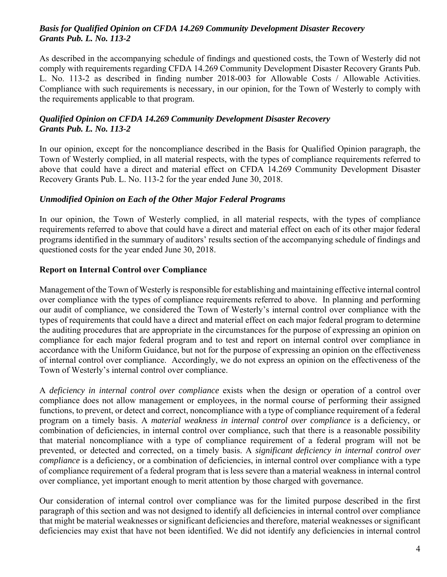#### *Basis for Qualified Opinion on CFDA 14.269 Community Development Disaster Recovery Grants Pub. L. No. 113-2*

As described in the accompanying schedule of findings and questioned costs, the Town of Westerly did not comply with requirements regarding CFDA 14.269 Community Development Disaster Recovery Grants Pub. L. No. 113-2 as described in finding number 2018-003 for Allowable Costs / Allowable Activities. Compliance with such requirements is necessary, in our opinion, for the Town of Westerly to comply with the requirements applicable to that program.

#### *Qualified Opinion on CFDA 14.269 Community Development Disaster Recovery Grants Pub. L. No. 113-2*

In our opinion, except for the noncompliance described in the Basis for Qualified Opinion paragraph, the Town of Westerly complied, in all material respects, with the types of compliance requirements referred to above that could have a direct and material effect on CFDA 14.269 Community Development Disaster Recovery Grants Pub. L. No. 113-2 for the year ended June 30, 2018.

#### *Unmodified Opinion on Each of the Other Major Federal Programs*

In our opinion, the Town of Westerly complied, in all material respects, with the types of compliance requirements referred to above that could have a direct and material effect on each of its other major federal programs identified in the summary of auditors' results section of the accompanying schedule of findings and questioned costs for the year ended June 30, 2018.

#### **Report on Internal Control over Compliance**

Management of the Town of Westerly is responsible for establishing and maintaining effective internal control over compliance with the types of compliance requirements referred to above. In planning and performing our audit of compliance, we considered the Town of Westerly's internal control over compliance with the types of requirements that could have a direct and material effect on each major federal program to determine the auditing procedures that are appropriate in the circumstances for the purpose of expressing an opinion on compliance for each major federal program and to test and report on internal control over compliance in accordance with the Uniform Guidance, but not for the purpose of expressing an opinion on the effectiveness of internal control over compliance. Accordingly, we do not express an opinion on the effectiveness of the Town of Westerly's internal control over compliance.

A *deficiency in internal control over compliance* exists when the design or operation of a control over compliance does not allow management or employees, in the normal course of performing their assigned functions, to prevent, or detect and correct, noncompliance with a type of compliance requirement of a federal program on a timely basis. A *material weakness in internal control over compliance* is a deficiency, or combination of deficiencies, in internal control over compliance, such that there is a reasonable possibility that material noncompliance with a type of compliance requirement of a federal program will not be prevented, or detected and corrected, on a timely basis. A *significant deficiency in internal control over compliance* is a deficiency, or a combination of deficiencies, in internal control over compliance with a type of compliance requirement of a federal program that is less severe than a material weakness in internal control over compliance, yet important enough to merit attention by those charged with governance.

Our consideration of internal control over compliance was for the limited purpose described in the first paragraph of this section and was not designed to identify all deficiencies in internal control over compliance that might be material weaknesses or significant deficiencies and therefore, material weaknesses or significant deficiencies may exist that have not been identified. We did not identify any deficiencies in internal control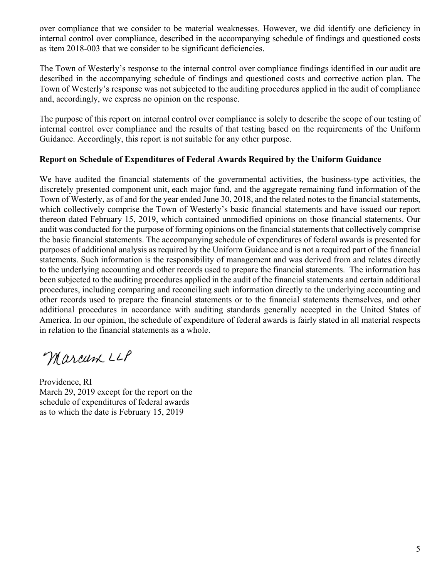over compliance that we consider to be material weaknesses. However, we did identify one deficiency in internal control over compliance, described in the accompanying schedule of findings and questioned costs as item 2018-003 that we consider to be significant deficiencies.

The Town of Westerly's response to the internal control over compliance findings identified in our audit are described in the accompanying schedule of findings and questioned costs and corrective action plan*.* The Town of Westerly's response was not subjected to the auditing procedures applied in the audit of compliance and, accordingly, we express no opinion on the response.

The purpose of this report on internal control over compliance is solely to describe the scope of our testing of internal control over compliance and the results of that testing based on the requirements of the Uniform Guidance. Accordingly, this report is not suitable for any other purpose.

#### **Report on Schedule of Expenditures of Federal Awards Required by the Uniform Guidance**

We have audited the financial statements of the governmental activities, the business-type activities, the discretely presented component unit, each major fund, and the aggregate remaining fund information of the Town of Westerly, as of and for the year ended June 30, 2018, and the related notes to the financial statements, which collectively comprise the Town of Westerly's basic financial statements and have issued our report thereon dated February 15, 2019, which contained unmodified opinions on those financial statements. Our audit was conducted for the purpose of forming opinions on the financial statements that collectively comprise the basic financial statements. The accompanying schedule of expenditures of federal awards is presented for purposes of additional analysis as required by the Uniform Guidance and is not a required part of the financial statements. Such information is the responsibility of management and was derived from and relates directly to the underlying accounting and other records used to prepare the financial statements. The information has been subjected to the auditing procedures applied in the audit of the financial statements and certain additional procedures, including comparing and reconciling such information directly to the underlying accounting and other records used to prepare the financial statements or to the financial statements themselves, and other additional procedures in accordance with auditing standards generally accepted in the United States of America. In our opinion, the schedule of expenditure of federal awards is fairly stated in all material respects in relation to the financial statements as a whole.

Marcum LLP

Providence, RI March 29, 2019 except for the report on the schedule of expenditures of federal awards as to which the date is February 15, 2019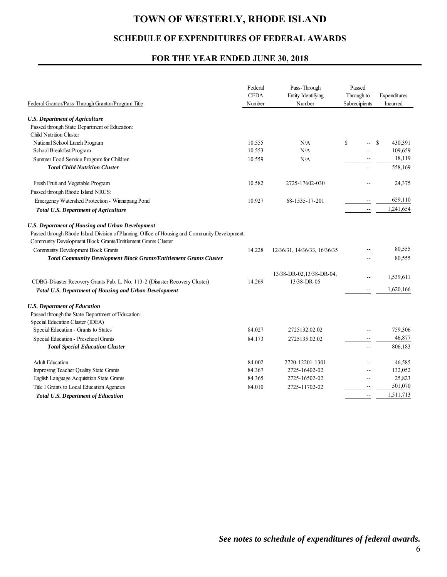### **SCHEDULE OF EXPENDITURES OF FEDERAL AWARDS**

#### **FOR THE YEAR ENDED JUNE 30, 2018**

| Federal Grantor/Pass-Through Grantor/Program Title                                                                                                                                                                         | Federal<br><b>CFDA</b><br>Number | Pass-Through<br>Entity Identifying<br>Number | Passed<br>Through to<br>Subrecipients | Expenditures<br>Incurred |
|----------------------------------------------------------------------------------------------------------------------------------------------------------------------------------------------------------------------------|----------------------------------|----------------------------------------------|---------------------------------------|--------------------------|
| <b>U.S. Department of Agriculture</b><br>Passed through State Department of Education:<br>Child Nutrition Cluster                                                                                                          |                                  |                                              |                                       |                          |
| National School Lunch Program                                                                                                                                                                                              | 10.555                           | N/A                                          | \$                                    | <sup>\$</sup><br>430,391 |
| School Breakfast Program                                                                                                                                                                                                   | 10.553                           | N/A                                          |                                       | 109,659                  |
| Summer Food Service Program for Children                                                                                                                                                                                   | 10.559                           | N/A                                          | $-$                                   | 18,119                   |
| <b>Total Child Nutrition Cluster</b>                                                                                                                                                                                       |                                  |                                              | $-$                                   | 558,169                  |
| Fresh Fruit and Vegetable Program                                                                                                                                                                                          | 10.582                           | 2725-17602-030                               |                                       | 24,375                   |
| Passed through Rhode Island NRCS:                                                                                                                                                                                          |                                  |                                              |                                       | 659,110                  |
| Emergency Watershed Protection - Winnapaug Pond                                                                                                                                                                            | 10.927                           | 68-1535-17-201                               |                                       |                          |
| <b>Total U.S. Department of Agriculture</b>                                                                                                                                                                                |                                  |                                              | $-$                                   | 1,241,654                |
| <b>U.S. Department of Housing and Urban Development</b><br>Passed through Rhode Island Division of Planning, Office of Housing and Community Development:<br>Community Development Block Grants/Entitlement Grants Cluster |                                  |                                              |                                       |                          |
| Community Development Block Grants                                                                                                                                                                                         | 14.228                           | 12/36/31, 14/36/33, 16/36/35                 |                                       | 80,555                   |
| <b>Total Community Development Block Grants/Entitlement Grants Cluster</b>                                                                                                                                                 |                                  |                                              | $\sim$                                | 80,555                   |
| CDBG-Disaster Recovery Grants Pub. L. No. 113-2 (Disaster Recovery Cluster)<br>Total U.S. Department of Housing and Urban Development                                                                                      | 14.269                           | 13/38-DR-02,13/38-DR-04,<br>13/38-DR-05      | $\overline{a}$                        | 1,539,611<br>1,620,166   |
| <b>U.S. Department of Education</b><br>Passed through the State Department of Education:<br>Special Education Cluster (IDEA)                                                                                               |                                  |                                              |                                       |                          |
| Special Education - Grants to States                                                                                                                                                                                       | 84.027                           | 2725132.02.02                                | $-1$                                  | 759,306                  |
| Special Education - Preschool Grants                                                                                                                                                                                       | 84.173                           | 2725135.02.02                                | $\sim$ $\sim$                         | 46,877                   |
| <b>Total Special Education Cluster</b>                                                                                                                                                                                     |                                  |                                              | $\sim$                                | 806,183                  |
| <b>Adult Education</b>                                                                                                                                                                                                     | 84.002                           | 2720-12201-1301                              |                                       | 46,585                   |
| Improving Teacher Quality State Grants                                                                                                                                                                                     | 84.367                           | 2725-16402-02                                | $\sim$                                | 132,052                  |
| English Language Acquisition State Grants                                                                                                                                                                                  | 84.365                           | 2725-16502-02                                | $\sim$                                | 25,823                   |
| Title I Grants to Local Education Agencies                                                                                                                                                                                 | 84.010                           | 2725-11702-02                                |                                       | 501,070                  |
| <b>Total U.S. Department of Education</b>                                                                                                                                                                                  |                                  |                                              | $\overline{a}$                        | 1,511,713                |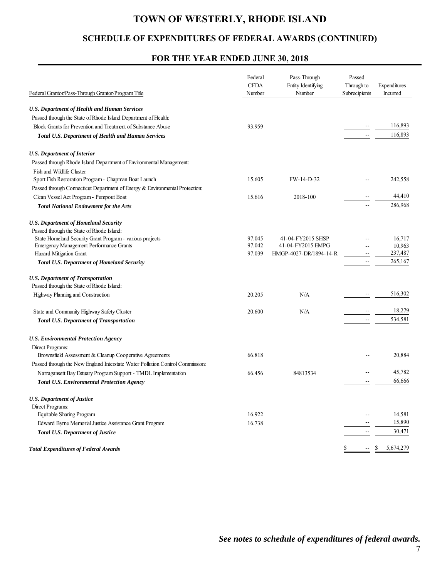## **SCHEDULE OF EXPENDITURES OF FEDERAL AWARDS (CONTINUED)**

#### **FOR THE YEAR ENDED JUNE 30, 2018**

|                                                                               | Federal<br><b>CFDA</b> | Pass-Through<br>Entity Identifying | Passed<br>Through to                          | Expenditures |
|-------------------------------------------------------------------------------|------------------------|------------------------------------|-----------------------------------------------|--------------|
| Federal Grantor/Pass-Through Grantor/Program Title                            | Number                 | Number                             | Subrecipients                                 | Incurred     |
| <b>U.S. Department of Health and Human Services</b>                           |                        |                                    |                                               |              |
| Passed through the State of Rhode Island Department of Health:                |                        |                                    |                                               |              |
| Block Grants for Prevention and Treatment of Substance Abuse                  | 93.959                 |                                    |                                               | 116,893      |
| <b>Total U.S. Department of Health and Human Services</b>                     |                        |                                    | $\sim$                                        | 116,893      |
| <b>U.S. Department of Interior</b>                                            |                        |                                    |                                               |              |
| Passed through Rhode Island Department of Environmental Management:           |                        |                                    |                                               |              |
| Fish and Wildlife Cluster                                                     |                        |                                    |                                               |              |
| Sport Fish Restoration Program - Chapman Boat Launch                          | 15.605                 | FW-14-D-32                         |                                               | 242,558      |
| Passed through Connecticut Department of Energy & Environmental Protection:   |                        |                                    |                                               |              |
| Clean Vessel Act Program - Pumpout Boat                                       | 15.616                 | 2018-100                           |                                               | 44,410       |
| <b>Total National Endowment for the Arts</b>                                  |                        |                                    | $\mathord{\hspace{1pt}\text{--}\hspace{1pt}}$ | 286,968      |
| <b>U.S. Department of Homeland Security</b>                                   |                        |                                    |                                               |              |
| Passed through the State of Rhode Island:                                     |                        |                                    |                                               |              |
| State Homeland Security Grant Program - various projects                      | 97.045                 | 41-04-FY2015 SHSP                  |                                               | 16,717       |
| Emergency Management Performance Grants                                       | 97.042                 | 41-04-FY2015 EMPG                  |                                               | 10,963       |
| Hazard Mitigation Grant                                                       | 97.039                 | HMGP-4027-DR/1894-14-R             | $-$                                           | 237,487      |
| Total U.S. Department of Homeland Security                                    |                        |                                    | $\sim$                                        | 265,167      |
| <b>U.S. Department of Transportation</b>                                      |                        |                                    |                                               |              |
| Passed through the State of Rhode Island:                                     |                        |                                    |                                               |              |
| Highway Planning and Construction                                             | 20.205                 | N/A                                |                                               | 516,302      |
| State and Community Highway Safety Cluster                                    | 20.600                 | N/A                                |                                               | 18,279       |
| <b>Total U.S. Department of Transportation</b>                                |                        |                                    |                                               | 534,581      |
| <b>U.S. Environmental Protection Agency</b>                                   |                        |                                    |                                               |              |
| Direct Programs:                                                              |                        |                                    |                                               |              |
| Brownsfield Assessment & Cleanup Cooperative Agreements                       | 66.818                 |                                    |                                               | 20,884       |
| Passed through the New England Interstate Water Pollution Control Commission: |                        |                                    |                                               |              |
| Narragansett Bay Estuary Program Support - TMDL Implementation                | 66.456                 | 84813534                           |                                               | 45,782       |
| <b>Total U.S. Environmental Protection Agency</b>                             |                        |                                    | $\overline{\phantom{a}}$                      | 66,666       |
| <b>U.S. Department of Justice</b>                                             |                        |                                    |                                               |              |
| Direct Programs:                                                              |                        |                                    |                                               |              |
| Equitable Sharing Program                                                     | 16.922                 |                                    |                                               | 14,581       |
| Edward Byrne Memorial Justice Assistance Grant Program                        | 16.738                 |                                    |                                               | 15,890       |
| Total U.S. Department of Justice                                              |                        |                                    | --                                            | 30,471       |
| <b>Total Expenditures of Federal Awards</b>                                   |                        |                                    |                                               | 5,674,279    |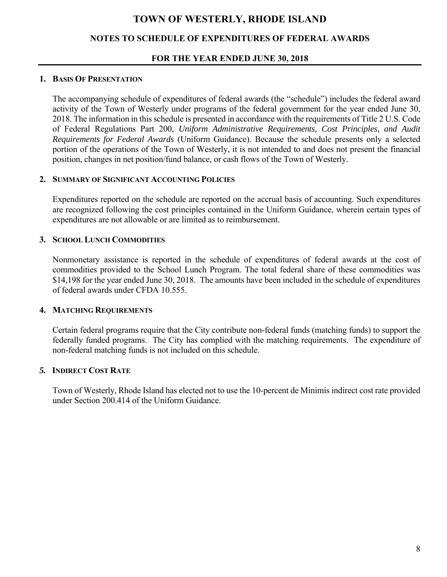#### **NOTES TO SCHEDULE OF EXPENDITURES OF FEDERAL AWARDS**

#### **FOR THE YEAR ENDED JUNE 30, 2018**

#### **1. BASIS OF PRESENTATION**

The accompanying schedule of expenditures of federal awards (the "schedule") includes the federal award activity of the Town of Westerly under programs of the federal government for the year ended June 30, 2018. The information in this schedule is presented in accordance with the requirements of Title 2 U.S. Code of Federal Regulations Part 200, *Uniform Administrative Requirements, Cost Principles, and Audit Requirements for Federal Awards* (Uniform Guidance). Because the schedule presents only a selected portion of the operations of the Town of Westerly, it is not intended to and does not present the financial position, changes in net position/fund balance, or cash flows of the Town of Westerly.

#### **2. SUMMARY OF SIGNIFICANT ACCOUNTING POLICIES**

Expenditures reported on the schedule are reported on the accrual basis of accounting. Such expenditures are recognized following the cost principles contained in the Uniform Guidance, wherein certain types of expenditures are not allowable or are limited as to reimbursement.

#### **3. SCHOOL LUNCH COMMODITIES**

Nonmonetary assistance is reported in the schedule of expenditures of federal awards at the cost of commodities provided to the School Lunch Program. The total federal share of these commodities was \$14,198 for the year ended June 30, 2018. The amounts have been included in the schedule of expenditures of federal awards under CFDA 10.555.

#### **4. MATCHING REQUIREMENTS**

Certain federal programs require that the City contribute non-federal funds (matching funds) to support the federally funded programs. The City has complied with the matching requirements. The expenditure of non-federal matching funds is not included on this schedule.

#### *5.* **INDIRECT COST RATE**

Town of Westerly, Rhode Island has elected not to use the 10-percent de Minimis indirect cost rate provided under Section 200.414 of the Uniform Guidance.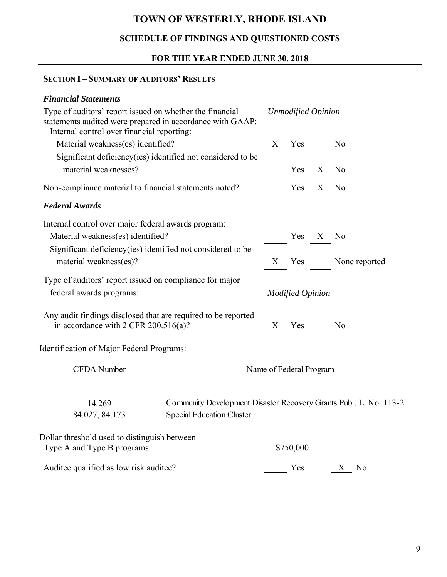## **SCHEDULE OF FINDINGS AND QUESTIONED COSTS**

## **FOR THE YEAR ENDED JUNE 30, 2018**

### **SECTION I – SUMMARY OF AUDITORS' RESULTS**

## *Financial Statements*

| Type of auditors' report issued on whether the financial<br>statements audited were prepared in accordance with GAAP:<br>Internal control over financial reporting: |                                                                                                       |                   | <b>Unmodified Opinion</b> |   |                |
|---------------------------------------------------------------------------------------------------------------------------------------------------------------------|-------------------------------------------------------------------------------------------------------|-------------------|---------------------------|---|----------------|
| Material weakness(es) identified?                                                                                                                                   |                                                                                                       | $X_{\mathcal{E}}$ | Yes                       |   | No             |
| Significant deficiency(ies) identified not considered to be                                                                                                         |                                                                                                       |                   |                           |   |                |
| material weaknesses?                                                                                                                                                |                                                                                                       |                   | Yes                       | X | No             |
| Non-compliance material to financial statements noted?                                                                                                              |                                                                                                       |                   | Yes                       | X | No             |
| <b>Federal Awards</b>                                                                                                                                               |                                                                                                       |                   |                           |   |                |
| Internal control over major federal awards program:                                                                                                                 |                                                                                                       |                   |                           |   |                |
| Material weakness(es) identified?                                                                                                                                   |                                                                                                       |                   | Yes                       | X | N <sub>o</sub> |
| Significant deficiency(ies) identified not considered to be<br>material weakness(es)?                                                                               |                                                                                                       |                   | Yes                       |   | None reported  |
| Type of auditors' report issued on compliance for major<br>federal awards programs:                                                                                 |                                                                                                       |                   | <b>Modified Opinion</b>   |   |                |
| Any audit findings disclosed that are required to be reported<br>in accordance with 2 CFR $200.516(a)$ ?                                                            |                                                                                                       | X                 | Yes                       |   | No             |
| Identification of Major Federal Programs:                                                                                                                           |                                                                                                       |                   |                           |   |                |
| CFDA Number                                                                                                                                                         | Name of Federal Program                                                                               |                   |                           |   |                |
| 14.269<br>84.027, 84.173                                                                                                                                            | Community Development Disaster Recovery Grants Pub . L. No. 113-2<br><b>Special Education Cluster</b> |                   |                           |   |                |
| Dollar threshold used to distinguish between<br>Type A and Type B programs:                                                                                         |                                                                                                       |                   | \$750,000                 |   |                |
| Auditee qualified as low risk auditee?                                                                                                                              |                                                                                                       |                   | Yes                       |   | No<br>X        |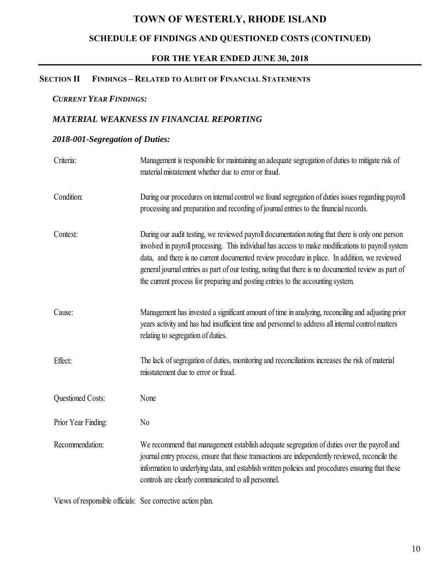## **SCHEDULE OF FINDINGS AND QUESTIONED COSTS (CONTINUED)**

#### **FOR THE YEAR ENDED JUNE 30, 2018**

#### **SECTION II FINDINGS – RELATED TO AUDIT OF FINANCIAL STATEMENTS**

#### *CURRENT YEAR FINDINGS:*

#### *MATERIAL WEAKNESS IN FINANCIAL REPORTING*

#### *2018-001-Segregation of Duties:*

| Criteria:                | Management is responsible for maintaining an adequate segregation of duties to mitigate risk of<br>material mistatement whether due to error or fraud.                                                                                                                                                                                                                                                                                                                                            |
|--------------------------|---------------------------------------------------------------------------------------------------------------------------------------------------------------------------------------------------------------------------------------------------------------------------------------------------------------------------------------------------------------------------------------------------------------------------------------------------------------------------------------------------|
| Condition:               | During our procedures on internal control we found segregation of duties issues regarding payroll<br>processing and preparation and recording of journal entries to the financial records.                                                                                                                                                                                                                                                                                                        |
| Context:                 | During our audit testing, we reviewed payroll documentation noting that there is only one person<br>involved in payroll processing. This individual has access to make modifications to payroll system<br>data, and there is no current documented review procedure in place. In addition, we reviewed<br>general journal entries as part of our testing, noting that there is no documented review as part of<br>the current process for preparing and posting entries to the accounting system. |
| Cause:                   | Management has invested a significant amount of time in analyzing, reconciling and adjusting prior<br>years activity and has had insufficient time and personnel to address all internal control matters<br>relating to segregation of duties.                                                                                                                                                                                                                                                    |
| Effect:                  | The lack of segregation of duties, monitoring and reconciliations increases the risk of material<br>misstatement due to error or fraud.                                                                                                                                                                                                                                                                                                                                                           |
| <b>Questioned Costs:</b> | None                                                                                                                                                                                                                                                                                                                                                                                                                                                                                              |
| Prior Year Finding:      | N <sub>0</sub>                                                                                                                                                                                                                                                                                                                                                                                                                                                                                    |
| Recommendation:          | We recommend that management establish adequate segregation of duties over the payroll and<br>journal entry process, ensure that these transactions are independently reviewed, reconcile the<br>information to underlying data, and establish written policies and procedures ensuring that these<br>controls are clearly communicated to all personnel.                                                                                                                                         |

Views of responsible officials: See corrective action plan.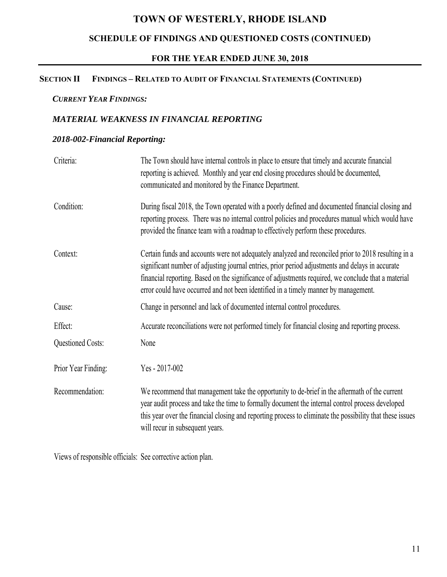## **SCHEDULE OF FINDINGS AND QUESTIONED COSTS (CONTINUED)**

#### **FOR THE YEAR ENDED JUNE 30, 2018**

#### **SECTION II FINDINGS – RELATED TO AUDIT OF FINANCIAL STATEMENTS (CONTINUED)**

#### *CURRENT YEAR FINDINGS:*

#### *MATERIAL WEAKNESS IN FINANCIAL REPORTING*

#### *2018-002-Financial Reporting:*

| Criteria:                | The Town should have internal controls in place to ensure that timely and accurate financial<br>reporting is achieved. Monthly and year end closing procedures should be documented,<br>communicated and monitored by the Finance Department.                                                                                                                                                         |
|--------------------------|-------------------------------------------------------------------------------------------------------------------------------------------------------------------------------------------------------------------------------------------------------------------------------------------------------------------------------------------------------------------------------------------------------|
| Condition:               | During fiscal 2018, the Town operated with a poorly defined and documented financial closing and<br>reporting process. There was no internal control policies and procedures manual which would have<br>provided the finance team with a roadmap to effectively perform these procedures.                                                                                                             |
| Context:                 | Certain funds and accounts were not adequately analyzed and reconciled prior to 2018 resulting in a<br>significant number of adjusting journal entries, prior period adjustments and delays in accurate<br>financial reporting. Based on the significance of adjustments required, we conclude that a material<br>error could have occurred and not been identified in a timely manner by management. |
| Cause:                   | Change in personnel and lack of documented internal control procedures.                                                                                                                                                                                                                                                                                                                               |
| Effect:                  | Accurate reconciliations were not performed timely for financial closing and reporting process.                                                                                                                                                                                                                                                                                                       |
| <b>Questioned Costs:</b> | None                                                                                                                                                                                                                                                                                                                                                                                                  |
| Prior Year Finding:      | Yes - 2017-002                                                                                                                                                                                                                                                                                                                                                                                        |
| Recommendation:          | We recommend that management take the opportunity to de-brief in the aftermath of the current<br>year audit process and take the time to formally document the internal control process developed<br>this year over the financial closing and reporting process to eliminate the possibility that these issues<br>will recur in subsequent years.                                                     |

Views of responsible officials: See corrective action plan.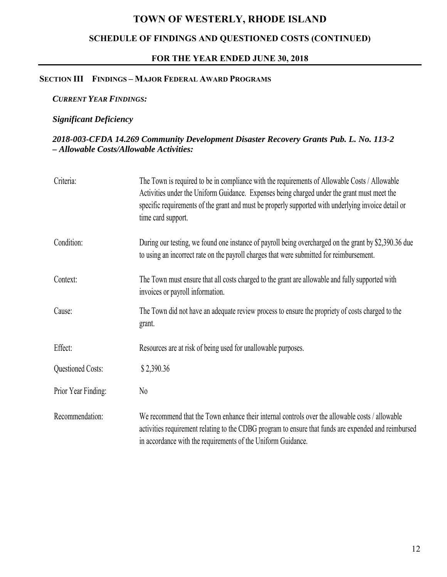## **SCHEDULE OF FINDINGS AND QUESTIONED COSTS (CONTINUED)**

#### **FOR THE YEAR ENDED JUNE 30, 2018**

#### **SECTION III FINDINGS – MAJOR FEDERAL AWARD PROGRAMS**

#### *CURRENT YEAR FINDINGS:*

#### *Significant Deficiency*

#### *2018-003-CFDA 14.269 Community Development Disaster Recovery Grants Pub. L. No. 113-2 – Allowable Costs/Allowable Activities:*

| Criteria:                | The Town is required to be in compliance with the requirements of Allowable Costs / Allowable<br>Activities under the Uniform Guidance. Expenses being charged under the grant must meet the<br>specific requirements of the grant and must be properly supported with underlying invoice detail or<br>time card support. |
|--------------------------|---------------------------------------------------------------------------------------------------------------------------------------------------------------------------------------------------------------------------------------------------------------------------------------------------------------------------|
| Condition:               | During our testing, we found one instance of payroll being overcharged on the grant by \$2,390.36 due<br>to using an incorrect rate on the payroll charges that were submitted for reimbursement.                                                                                                                         |
| Context:                 | The Town must ensure that all costs charged to the grant are allowable and fully supported with<br>invoices or payroll information.                                                                                                                                                                                       |
| Cause:                   | The Town did not have an adequate review process to ensure the propriety of costs charged to the<br>grant.                                                                                                                                                                                                                |
| Effect:                  | Resources are at risk of being used for unallowable purposes.                                                                                                                                                                                                                                                             |
| <b>Questioned Costs:</b> | \$2,390.36                                                                                                                                                                                                                                                                                                                |
| Prior Year Finding:      | $\rm No$                                                                                                                                                                                                                                                                                                                  |
| Recommendation:          | We recommend that the Town enhance their internal controls over the allowable costs / allowable<br>activities requirement relating to the CDBG program to ensure that funds are expended and reimbursed<br>in accordance with the requirements of the Uniform Guidance.                                                   |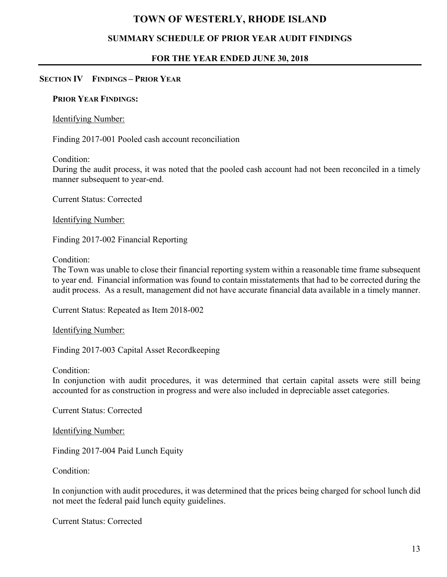#### **SUMMARY SCHEDULE OF PRIOR YEAR AUDIT FINDINGS**

#### **FOR THE YEAR ENDED JUNE 30, 2018**

#### **SECTION IV FINDINGS – PRIOR YEAR**

#### **PRIOR YEAR FINDINGS:**

#### Identifying Number:

Finding 2017-001 Pooled cash account reconciliation

Condition:

During the audit process, it was noted that the pooled cash account had not been reconciled in a timely manner subsequent to year-end.

Current Status: Corrected

Identifying Number:

Finding 2017-002 Financial Reporting

Condition:

The Town was unable to close their financial reporting system within a reasonable time frame subsequent to year end. Financial information was found to contain misstatements that had to be corrected during the audit process. As a result, management did not have accurate financial data available in a timely manner.

Current Status: Repeated as Item 2018-002

Identifying Number:

Finding 2017-003 Capital Asset Recordkeeping

Condition:

In conjunction with audit procedures, it was determined that certain capital assets were still being accounted for as construction in progress and were also included in depreciable asset categories.

Current Status: Corrected

Identifying Number:

Finding 2017-004 Paid Lunch Equity

Condition:

In conjunction with audit procedures, it was determined that the prices being charged for school lunch did not meet the federal paid lunch equity guidelines.

Current Status: Corrected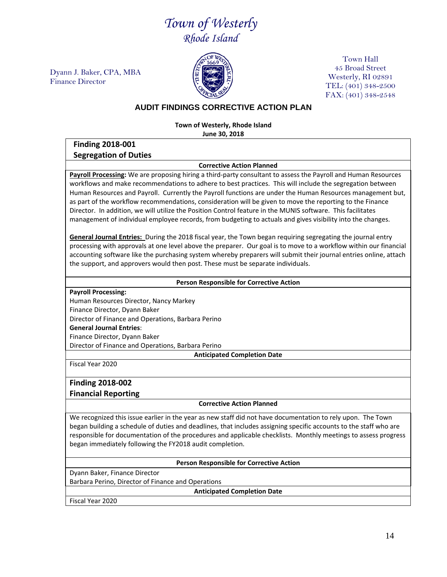## *Town of Westerly Rhode Island*

Dyann J. Baker, CPA, MBA Finance Director



Town Hall 45 Broad Street Westerly, RI 02891 TEL: (401) 348-2500 FAX: (401) 348-2548

#### **AUDIT FINDINGS CORRECTIVE ACTION PLAN**

**Town of Westerly, Rhode Island June 30, 2018**

**Finding 2018-001 Segregation of Duties**

#### **Corrective Action Planned**

**Payroll Processing:** We are proposing hiring a third-party consultant to assess the Payroll and Human Resources workflows and make recommendations to adhere to best practices. This will include the segregation between Human Resources and Payroll. Currently the Payroll functions are under the Human Resources management but, as part of the workflow recommendations, consideration will be given to move the reporting to the Finance Director. In addition, we will utilize the Position Control feature in the MUNIS software. This facilitates management of individual employee records, from budgeting to actuals and gives visibility into the changes.

**General Journal Entries:** During the 2018 fiscal year, the Town began requiring segregating the journal entry processing with approvals at one level above the preparer. Our goal is to move to a workflow within our financial accounting software like the purchasing system whereby preparers will submit their journal entries online, attach the support, and approvers would then post. These must be separate individuals.

#### **Person Responsible for Corrective Action**

**Payroll Processing:**

Human Resources Director, Nancy Markey

Finance Director, Dyann Baker

Director of Finance and Operations, Barbara Perino

**General Journal Entries**:

Finance Director, Dyann Baker

Director of Finance and Operations, Barbara Perino

**Anticipated Completion Date**

Fiscal Year 2020

#### **Finding 2018-002**

**Financial Reporting**

#### **Corrective Action Planned**

We recognized this issue earlier in the year as new staff did not have documentation to rely upon. The Town began building a schedule of duties and deadlines, that includes assigning specific accounts to the staff who are responsible for documentation of the procedures and applicable checklists. Monthly meetings to assess progress began immediately following the FY2018 audit completion.

#### **Person Responsible for Corrective Action**

Dyann Baker, Finance Director

Barbara Perino, Director of Finance and Operations

**Anticipated Completion Date**

Fiscal Year 2020